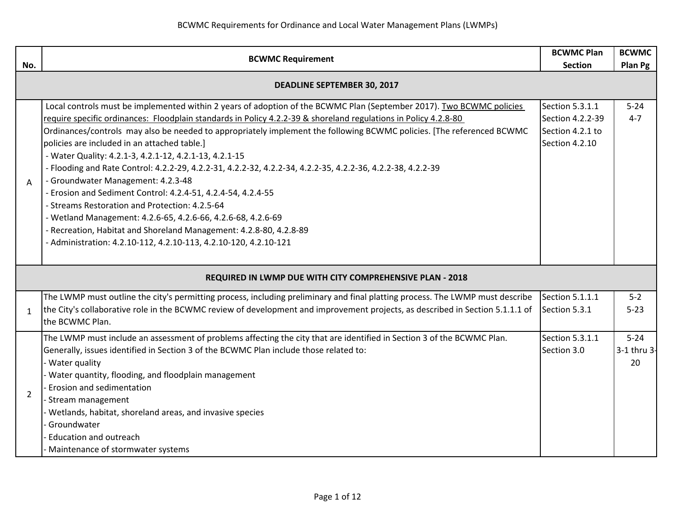|                | <b>BCWMC Requirement</b>                                                                                                                                                                                                                                                                                                                                                                                                                                                                                                                                                                                                                                                                                                                                                                                                                                                                                                                                    |                                                                           | <b>BCWMC</b>                  |
|----------------|-------------------------------------------------------------------------------------------------------------------------------------------------------------------------------------------------------------------------------------------------------------------------------------------------------------------------------------------------------------------------------------------------------------------------------------------------------------------------------------------------------------------------------------------------------------------------------------------------------------------------------------------------------------------------------------------------------------------------------------------------------------------------------------------------------------------------------------------------------------------------------------------------------------------------------------------------------------|---------------------------------------------------------------------------|-------------------------------|
| No.            |                                                                                                                                                                                                                                                                                                                                                                                                                                                                                                                                                                                                                                                                                                                                                                                                                                                                                                                                                             |                                                                           | Plan Pg                       |
|                | <b>DEADLINE SEPTEMBER 30, 2017</b>                                                                                                                                                                                                                                                                                                                                                                                                                                                                                                                                                                                                                                                                                                                                                                                                                                                                                                                          |                                                                           |                               |
| A              | Local controls must be implemented within 2 years of adoption of the BCWMC Plan (September 2017). Two BCWMC policies<br>require specific ordinances: Floodplain standards in Policy 4.2.2-39 & shoreland regulations in Policy 4.2.8-80<br>Ordinances/controls may also be needed to appropriately implement the following BCWMC policies. [The referenced BCWMC<br>policies are included in an attached table.]<br>- Water Quality: 4.2.1-3, 4.2.1-12, 4.2.1-13, 4.2.1-15<br>- Flooding and Rate Control: 4.2.2-29, 4.2.2-31, 4.2.2-32, 4.2.2-34, 4.2.2-35, 4.2.2-36, 4.2.2-38, 4.2.2-39<br>- Groundwater Management: 4.2.3-48<br>- Erosion and Sediment Control: 4.2.4-51, 4.2.4-54, 4.2.4-55<br>- Streams Restoration and Protection: 4.2.5-64<br>- Wetland Management: 4.2.6-65, 4.2.6-66, 4.2.6-68, 4.2.6-69<br>- Recreation, Habitat and Shoreland Management: 4.2.8-80, 4.2.8-89<br>- Administration: 4.2.10-112, 4.2.10-113, 4.2.10-120, 4.2.10-121 | Section 5.3.1.1<br>Section 4.2.2-39<br>Section 4.2.1 to<br>Section 4.2.10 | $5 - 24$<br>$4 - 7$           |
|                | REQUIRED IN LWMP DUE WITH CITY COMPREHENSIVE PLAN - 2018                                                                                                                                                                                                                                                                                                                                                                                                                                                                                                                                                                                                                                                                                                                                                                                                                                                                                                    |                                                                           |                               |
| $\mathbf{1}$   | The LWMP must outline the city's permitting process, including preliminary and final platting process. The LWMP must describe<br>the City's collaborative role in the BCWMC review of development and improvement projects, as described in Section 5.1.1.1 of<br>the BCWMC Plan.                                                                                                                                                                                                                                                                                                                                                                                                                                                                                                                                                                                                                                                                           | Section 5.1.1.1<br>Section 5.3.1                                          | $5 - 2$<br>$5 - 23$           |
| $\overline{2}$ | The LWMP must include an assessment of problems affecting the city that are identified in Section 3 of the BCWMC Plan.<br>Generally, issues identified in Section 3 of the BCWMC Plan include those related to:<br>Water quality<br>Water quantity, flooding, and floodplain management<br>Erosion and sedimentation<br>- Stream management<br>Wetlands, habitat, shoreland areas, and invasive species<br>Groundwater<br><b>Education and outreach</b><br>Maintenance of stormwater systems                                                                                                                                                                                                                                                                                                                                                                                                                                                                | Section 5.3.1.1<br>Section 3.0                                            | $5 - 24$<br>3-1 thru 3-<br>20 |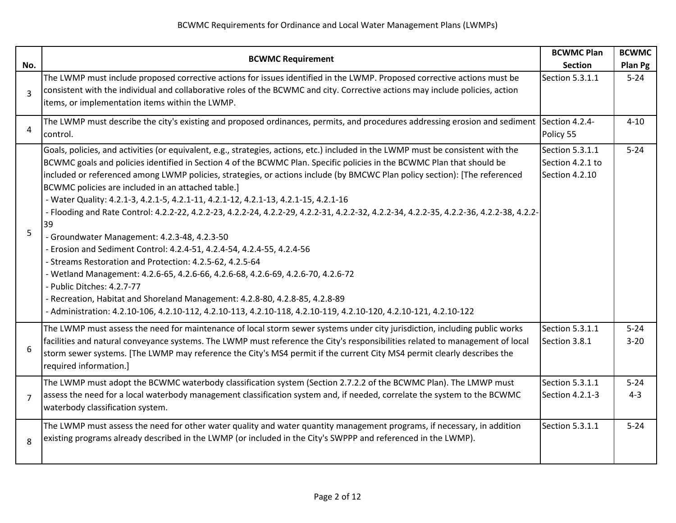| No.            | <b>BCWMC Requirement</b>                                                                                                                                                                                                                                                                                                                                                                                                                                                                                                                                                                                                                                                                                                                                                                                                                                                                                                                                                                                                                                                                                                                                                                            | <b>BCWMC Plan</b><br><b>Section</b>                   | <b>BCWMC</b><br>Plan Pg |
|----------------|-----------------------------------------------------------------------------------------------------------------------------------------------------------------------------------------------------------------------------------------------------------------------------------------------------------------------------------------------------------------------------------------------------------------------------------------------------------------------------------------------------------------------------------------------------------------------------------------------------------------------------------------------------------------------------------------------------------------------------------------------------------------------------------------------------------------------------------------------------------------------------------------------------------------------------------------------------------------------------------------------------------------------------------------------------------------------------------------------------------------------------------------------------------------------------------------------------|-------------------------------------------------------|-------------------------|
| $\overline{3}$ | The LWMP must include proposed corrective actions for issues identified in the LWMP. Proposed corrective actions must be<br>consistent with the individual and collaborative roles of the BCWMC and city. Corrective actions may include policies, action<br>items, or implementation items within the LWMP.                                                                                                                                                                                                                                                                                                                                                                                                                                                                                                                                                                                                                                                                                                                                                                                                                                                                                        | Section 5.3.1.1                                       | $5 - 24$                |
| 4              | The LWMP must describe the city's existing and proposed ordinances, permits, and procedures addressing erosion and sediment<br>control.                                                                                                                                                                                                                                                                                                                                                                                                                                                                                                                                                                                                                                                                                                                                                                                                                                                                                                                                                                                                                                                             | Section 4.2.4-<br>Policy 55                           | $4 - 10$                |
| 5              | Goals, policies, and activities (or equivalent, e.g., strategies, actions, etc.) included in the LWMP must be consistent with the<br>BCWMC goals and policies identified in Section 4 of the BCWMC Plan. Specific policies in the BCWMC Plan that should be<br>included or referenced among LWMP policies, strategies, or actions include (by BMCWC Plan policy section): [The referenced<br>BCWMC policies are included in an attached table.]<br>- Water Quality: 4.2.1-3, 4.2.1-5, 4.2.1-11, 4.2.1-12, 4.2.1-13, 4.2.1-15, 4.2.1-16<br>- Flooding and Rate Control: 4.2.2-22, 4.2.2-23, 4.2.2-24, 4.2.2-29, 4.2.2-31, 4.2.2-32, 4.2.2-34, 4.2.2-35, 4.2.2-36, 4.2.2-38, 4.2.2-<br>39<br>- Groundwater Management: 4.2.3-48, 4.2.3-50<br>- Erosion and Sediment Control: 4.2.4-51, 4.2.4-54, 4.2.4-55, 4.2.4-56<br>- Streams Restoration and Protection: 4.2.5-62, 4.2.5-64<br>- Wetland Management: 4.2.6-65, 4.2.6-66, 4.2.6-68, 4.2.6-69, 4.2.6-70, 4.2.6-72<br>- Public Ditches: 4.2.7-77<br>- Recreation, Habitat and Shoreland Management: 4.2.8-80, 4.2.8-85, 4.2.8-89<br>- Administration: 4.2.10-106, 4.2.10-112, 4.2.10-113, 4.2.10-118, 4.2.10-119, 4.2.10-120, 4.2.10-121, 4.2.10-122 | Section 5.3.1.1<br>Section 4.2.1 to<br>Section 4.2.10 | $5 - 24$                |
| 6              | The LWMP must assess the need for maintenance of local storm sewer systems under city jurisdiction, including public works<br>facilities and natural conveyance systems. The LWMP must reference the City's responsibilities related to management of local<br>storm sewer systems. [The LWMP may reference the City's MS4 permit if the current City MS4 permit clearly describes the<br>required information.]                                                                                                                                                                                                                                                                                                                                                                                                                                                                                                                                                                                                                                                                                                                                                                                    | Section 5.3.1.1<br>Section 3.8.1                      | $5 - 24$<br>$3 - 20$    |
| $\overline{7}$ | The LWMP must adopt the BCWMC waterbody classification system (Section 2.7.2.2 of the BCWMC Plan). The LMWP must<br>assess the need for a local waterbody management classification system and, if needed, correlate the system to the BCWMC<br>waterbody classification system.                                                                                                                                                                                                                                                                                                                                                                                                                                                                                                                                                                                                                                                                                                                                                                                                                                                                                                                    | Section 5.3.1.1<br>Section 4.2.1-3                    | $5 - 24$<br>$4 - 3$     |
| 8              | The LWMP must assess the need for other water quality and water quantity management programs, if necessary, in addition<br>existing programs already described in the LWMP (or included in the City's SWPPP and referenced in the LWMP).                                                                                                                                                                                                                                                                                                                                                                                                                                                                                                                                                                                                                                                                                                                                                                                                                                                                                                                                                            | Section 5.3.1.1                                       | $5 - 24$                |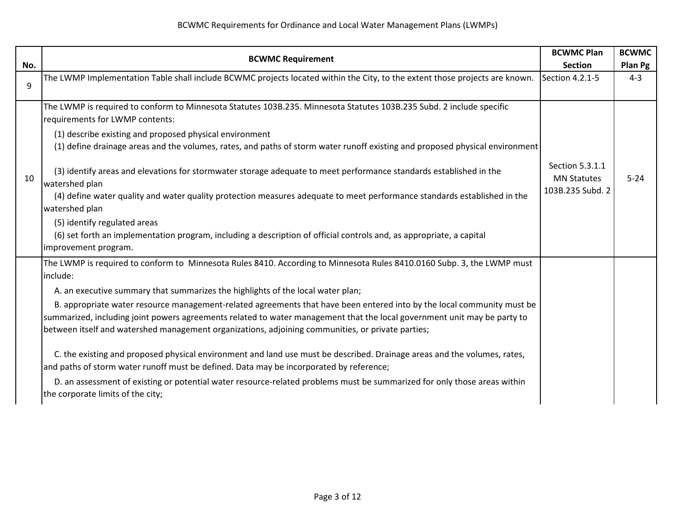|     | <b>BCWMC Requirement</b>                                                                                                                                                                                                                                                                                                                                                                                                                                                                                                                                                                                                                                                                                                                                                                                                                                                                                                                                                 |                                                           | <b>BCWMC</b> |
|-----|--------------------------------------------------------------------------------------------------------------------------------------------------------------------------------------------------------------------------------------------------------------------------------------------------------------------------------------------------------------------------------------------------------------------------------------------------------------------------------------------------------------------------------------------------------------------------------------------------------------------------------------------------------------------------------------------------------------------------------------------------------------------------------------------------------------------------------------------------------------------------------------------------------------------------------------------------------------------------|-----------------------------------------------------------|--------------|
| No. |                                                                                                                                                                                                                                                                                                                                                                                                                                                                                                                                                                                                                                                                                                                                                                                                                                                                                                                                                                          | <b>Section</b>                                            | Plan Pg      |
| 9   | The LWMP Implementation Table shall include BCWMC projects located within the City, to the extent those projects are known.                                                                                                                                                                                                                                                                                                                                                                                                                                                                                                                                                                                                                                                                                                                                                                                                                                              | Section 4.2.1-5                                           | $4 - 3$      |
| 10  | The LWMP is required to conform to Minnesota Statutes 103B.235. Minnesota Statutes 103B.235 Subd. 2 include specific<br>requirements for LWMP contents:<br>(1) describe existing and proposed physical environment<br>(1) define drainage areas and the volumes, rates, and paths of storm water runoff existing and proposed physical environment<br>(3) identify areas and elevations for stormwater storage adequate to meet performance standards established in the<br>watershed plan<br>(4) define water quality and water quality protection measures adequate to meet performance standards established in the<br>watershed plan<br>(5) identify regulated areas<br>(6) set forth an implementation program, including a description of official controls and, as appropriate, a capital<br>improvement program.                                                                                                                                                 | Section 5.3.1.1<br><b>MN Statutes</b><br>103B.235 Subd. 2 | $5 - 24$     |
|     | The LWMP is required to conform to Minnesota Rules 8410. According to Minnesota Rules 8410.0160 Subp. 3, the LWMP must<br>include:<br>A. an executive summary that summarizes the highlights of the local water plan;<br>B. appropriate water resource management-related agreements that have been entered into by the local community must be<br>summarized, including joint powers agreements related to water management that the local government unit may be party to<br>between itself and watershed management organizations, adjoining communities, or private parties;<br>C. the existing and proposed physical environment and land use must be described. Drainage areas and the volumes, rates,<br>and paths of storm water runoff must be defined. Data may be incorporated by reference;<br>D. an assessment of existing or potential water resource-related problems must be summarized for only those areas within<br>the corporate limits of the city; |                                                           |              |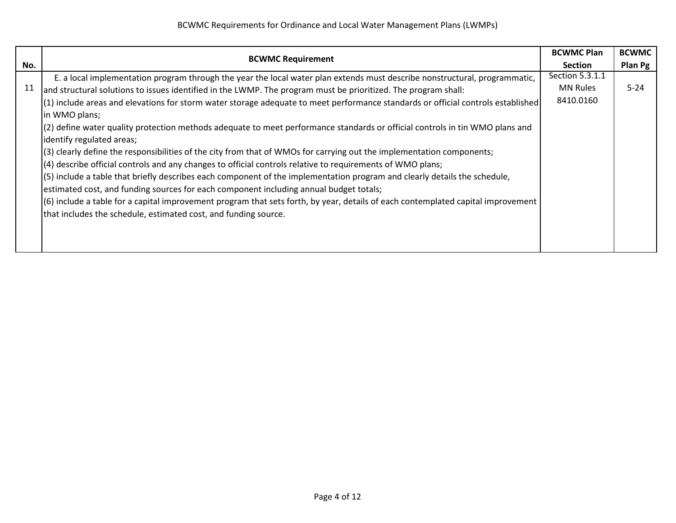|     |                                                                                                                                  |                 | <b>BCWMC</b> |
|-----|----------------------------------------------------------------------------------------------------------------------------------|-----------------|--------------|
| No. | <b>BCWMC Requirement</b>                                                                                                         | <b>Section</b>  | Plan Pg      |
|     | E. a local implementation program through the year the local water plan extends must describe nonstructural, programmatic,       | Section 5.3.1.1 |              |
| 11  | and structural solutions to issues identified in the LWMP. The program must be prioritized. The program shall:                   | <b>MN Rules</b> | $5 - 24$     |
|     | (1) include areas and elevations for storm water storage adequate to meet performance standards or official controls established | 8410.0160       |              |
|     | in WMO plans;                                                                                                                    |                 |              |
|     | (2) define water quality protection methods adequate to meet performance standards or official controls in tin WMO plans and     |                 |              |
|     | identify regulated areas;                                                                                                        |                 |              |
|     | (3) clearly define the responsibilities of the city from that of WMOs for carrying out the implementation components;            |                 |              |
|     | (4) describe official controls and any changes to official controls relative to requirements of WMO plans;                       |                 |              |
|     | (5) include a table that briefly describes each component of the implementation program and clearly details the schedule,        |                 |              |
|     | estimated cost, and funding sources for each component including annual budget totals;                                           |                 |              |
|     | (6) include a table for a capital improvement program that sets forth, by year, details of each contemplated capital improvement |                 |              |
|     | that includes the schedule, estimated cost, and funding source.                                                                  |                 |              |
|     |                                                                                                                                  |                 |              |
|     |                                                                                                                                  |                 |              |
|     |                                                                                                                                  |                 |              |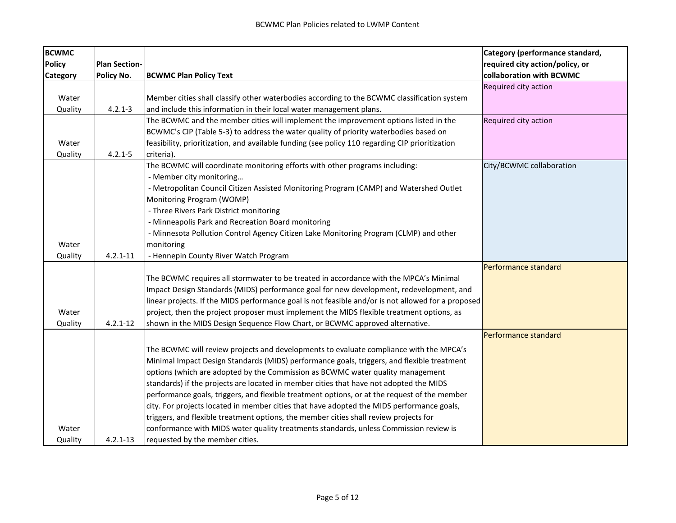| <b>BCWMC</b>    |                      |                                                                                                    | Category (performance standard, |
|-----------------|----------------------|----------------------------------------------------------------------------------------------------|---------------------------------|
| <b>Policy</b>   | <b>Plan Section-</b> |                                                                                                    | required city action/policy, or |
| <b>Category</b> | Policy No.           | <b>BCWMC Plan Policy Text</b>                                                                      | collaboration with BCWMC        |
|                 |                      |                                                                                                    | Required city action            |
| Water           |                      | Member cities shall classify other waterbodies according to the BCWMC classification system        |                                 |
| Quality         | $4.2.1 - 3$          | and include this information in their local water management plans.                                |                                 |
|                 |                      | The BCWMC and the member cities will implement the improvement options listed in the               | Required city action            |
|                 |                      | BCWMC's CIP (Table 5-3) to address the water quality of priority waterbodies based on              |                                 |
| Water           |                      | feasibility, prioritization, and available funding (see policy 110 regarding CIP prioritization    |                                 |
| Quality         | $4.2.1 - 5$          | criteria).                                                                                         |                                 |
|                 |                      | The BCWMC will coordinate monitoring efforts with other programs including:                        | City/BCWMC collaboration        |
|                 |                      | - Member city monitoring                                                                           |                                 |
|                 |                      | - Metropolitan Council Citizen Assisted Monitoring Program (CAMP) and Watershed Outlet             |                                 |
|                 |                      | Monitoring Program (WOMP)                                                                          |                                 |
|                 |                      | - Three Rivers Park District monitoring                                                            |                                 |
|                 |                      | - Minneapolis Park and Recreation Board monitoring                                                 |                                 |
|                 |                      | - Minnesota Pollution Control Agency Citizen Lake Monitoring Program (CLMP) and other              |                                 |
| Water           |                      | monitoring                                                                                         |                                 |
| Quality         | $4.2.1 - 11$         | - Hennepin County River Watch Program                                                              |                                 |
|                 |                      |                                                                                                    | Performance standard            |
|                 |                      | The BCWMC requires all stormwater to be treated in accordance with the MPCA's Minimal              |                                 |
|                 |                      | Impact Design Standards (MIDS) performance goal for new development, redevelopment, and            |                                 |
|                 |                      | linear projects. If the MIDS performance goal is not feasible and/or is not allowed for a proposed |                                 |
| Water           |                      | project, then the project proposer must implement the MIDS flexible treatment options, as          |                                 |
| Quality         | $4.2.1 - 12$         | shown in the MIDS Design Sequence Flow Chart, or BCWMC approved alternative.                       |                                 |
|                 |                      |                                                                                                    | Performance standard            |
|                 |                      | The BCWMC will review projects and developments to evaluate compliance with the MPCA's             |                                 |
|                 |                      | Minimal Impact Design Standards (MIDS) performance goals, triggers, and flexible treatment         |                                 |
|                 |                      | options (which are adopted by the Commission as BCWMC water quality management                     |                                 |
|                 |                      | standards) if the projects are located in member cities that have not adopted the MIDS             |                                 |
|                 |                      | performance goals, triggers, and flexible treatment options, or at the request of the member       |                                 |
|                 |                      | city. For projects located in member cities that have adopted the MIDS performance goals,          |                                 |
|                 |                      | triggers, and flexible treatment options, the member cities shall review projects for              |                                 |
| Water           |                      | conformance with MIDS water quality treatments standards, unless Commission review is              |                                 |
| Quality         | $4.2.1 - 13$         | requested by the member cities.                                                                    |                                 |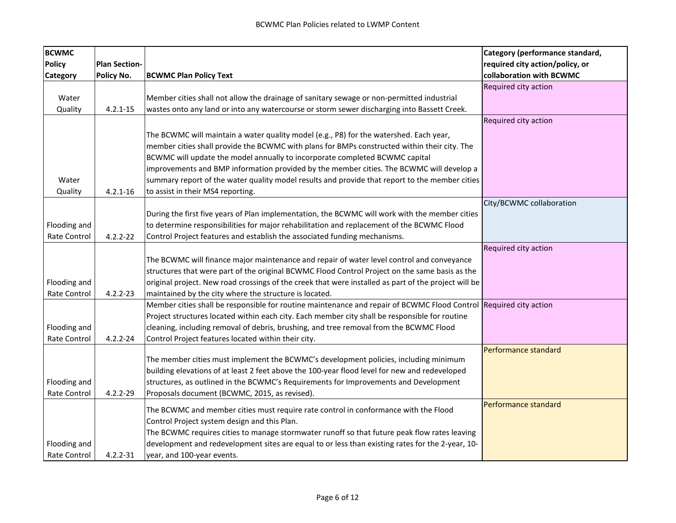| <b>BCWMC</b>  |                      |                                                                                                                   | Category (performance standard, |
|---------------|----------------------|-------------------------------------------------------------------------------------------------------------------|---------------------------------|
| <b>Policy</b> | <b>Plan Section-</b> |                                                                                                                   | required city action/policy, or |
| Category      | Policy No.           | <b>BCWMC Plan Policy Text</b>                                                                                     | collaboration with BCWMC        |
|               |                      |                                                                                                                   | Required city action            |
| Water         |                      | Member cities shall not allow the drainage of sanitary sewage or non-permitted industrial                         |                                 |
| Quality       | $4.2.1 - 15$         | wastes onto any land or into any watercourse or storm sewer discharging into Bassett Creek.                       |                                 |
|               |                      |                                                                                                                   | Required city action            |
|               |                      | The BCWMC will maintain a water quality model (e.g., P8) for the watershed. Each year,                            |                                 |
|               |                      | member cities shall provide the BCWMC with plans for BMPs constructed within their city. The                      |                                 |
|               |                      | BCWMC will update the model annually to incorporate completed BCWMC capital                                       |                                 |
|               |                      | improvements and BMP information provided by the member cities. The BCWMC will develop a                          |                                 |
| Water         |                      | summary report of the water quality model results and provide that report to the member cities                    |                                 |
| Quality       | $4.2.1 - 16$         | to assist in their MS4 reporting.                                                                                 |                                 |
|               |                      |                                                                                                                   | City/BCWMC collaboration        |
|               |                      | During the first five years of Plan implementation, the BCWMC will work with the member cities                    |                                 |
| Flooding and  |                      | to determine responsibilities for major rehabilitation and replacement of the BCWMC Flood                         |                                 |
| Rate Control  | $4.2.2 - 22$         | Control Project features and establish the associated funding mechanisms.                                         |                                 |
|               |                      |                                                                                                                   | Required city action            |
|               |                      | The BCWMC will finance major maintenance and repair of water level control and conveyance                         |                                 |
|               |                      | structures that were part of the original BCWMC Flood Control Project on the same basis as the                    |                                 |
| Flooding and  |                      | original project. New road crossings of the creek that were installed as part of the project will be              |                                 |
| Rate Control  | $4.2.2 - 23$         | maintained by the city where the structure is located.                                                            |                                 |
|               |                      | Member cities shall be responsible for routine maintenance and repair of BCWMC Flood Control Required city action |                                 |
|               |                      | Project structures located within each city. Each member city shall be responsible for routine                    |                                 |
| Flooding and  |                      | cleaning, including removal of debris, brushing, and tree removal from the BCWMC Flood                            |                                 |
| Rate Control  | $4.2.2 - 24$         | Control Project features located within their city.                                                               |                                 |
|               |                      |                                                                                                                   | Performance standard            |
|               |                      | The member cities must implement the BCWMC's development policies, including minimum                              |                                 |
|               |                      | building elevations of at least 2 feet above the 100-year flood level for new and redeveloped                     |                                 |
| Flooding and  |                      | structures, as outlined in the BCWMC's Requirements for Improvements and Development                              |                                 |
| Rate Control  | $4.2.2 - 29$         | Proposals document (BCWMC, 2015, as revised).                                                                     |                                 |
|               |                      | The BCWMC and member cities must require rate control in conformance with the Flood                               | Performance standard            |
|               |                      | Control Project system design and this Plan.                                                                      |                                 |
|               |                      | The BCWMC requires cities to manage stormwater runoff so that future peak flow rates leaving                      |                                 |
| Flooding and  |                      | development and redevelopment sites are equal to or less than existing rates for the 2-year, 10-                  |                                 |
| Rate Control  | $4.2.2 - 31$         | year, and 100-year events.                                                                                        |                                 |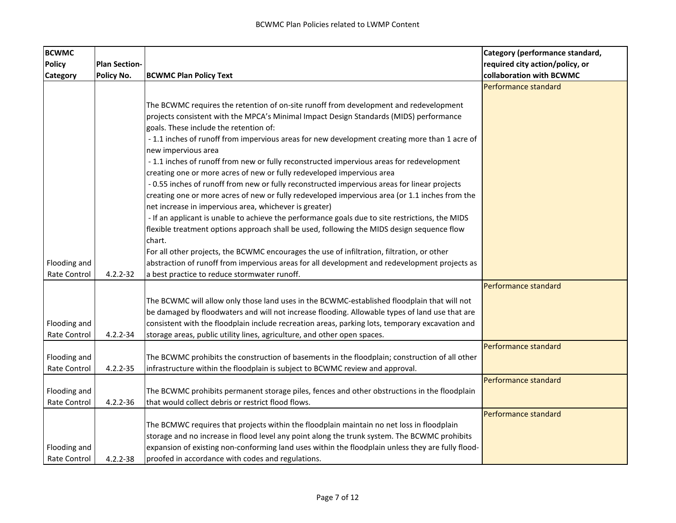| <b>BCWMC</b>  |                      |                                                                                                   | Category (performance standard, |
|---------------|----------------------|---------------------------------------------------------------------------------------------------|---------------------------------|
| <b>Policy</b> | <b>Plan Section-</b> |                                                                                                   | required city action/policy, or |
| Category      | Policy No.           | <b>BCWMC Plan Policy Text</b>                                                                     | collaboration with BCWMC        |
|               |                      |                                                                                                   | Performance standard            |
|               |                      |                                                                                                   |                                 |
|               |                      | The BCWMC requires the retention of on-site runoff from development and redevelopment             |                                 |
|               |                      | projects consistent with the MPCA's Minimal Impact Design Standards (MIDS) performance            |                                 |
|               |                      | goals. These include the retention of:                                                            |                                 |
|               |                      | - 1.1 inches of runoff from impervious areas for new development creating more than 1 acre of     |                                 |
|               |                      | new impervious area                                                                               |                                 |
|               |                      | -1.1 inches of runoff from new or fully reconstructed impervious areas for redevelopment          |                                 |
|               |                      | creating one or more acres of new or fully redeveloped impervious area                            |                                 |
|               |                      | - 0.55 inches of runoff from new or fully reconstructed impervious areas for linear projects      |                                 |
|               |                      | creating one or more acres of new or fully redeveloped impervious area (or 1.1 inches from the    |                                 |
|               |                      | net increase in impervious area, whichever is greater)                                            |                                 |
|               |                      | - If an applicant is unable to achieve the performance goals due to site restrictions, the MIDS   |                                 |
|               |                      | flexible treatment options approach shall be used, following the MIDS design sequence flow        |                                 |
|               |                      | chart.                                                                                            |                                 |
|               |                      | For all other projects, the BCWMC encourages the use of infiltration, filtration, or other        |                                 |
| Flooding and  |                      | abstraction of runoff from impervious areas for all development and redevelopment projects as     |                                 |
| Rate Control  | $4.2.2 - 32$         | a best practice to reduce stormwater runoff.                                                      |                                 |
|               |                      |                                                                                                   | Performance standard            |
|               |                      | The BCWMC will allow only those land uses in the BCWMC-established floodplain that will not       |                                 |
|               |                      | be damaged by floodwaters and will not increase flooding. Allowable types of land use that are    |                                 |
| Flooding and  |                      | consistent with the floodplain include recreation areas, parking lots, temporary excavation and   |                                 |
| Rate Control  | $4.2.2 - 34$         | storage areas, public utility lines, agriculture, and other open spaces.                          |                                 |
|               |                      |                                                                                                   | Performance standard            |
| Flooding and  |                      | The BCWMC prohibits the construction of basements in the floodplain; construction of all other    |                                 |
| Rate Control  | $4.2.2 - 35$         | infrastructure within the floodplain is subject to BCWMC review and approval.                     |                                 |
|               |                      |                                                                                                   | Performance standard            |
| Flooding and  |                      | The BCWMC prohibits permanent storage piles, fences and other obstructions in the floodplain      |                                 |
| Rate Control  | $4.2.2 - 36$         | that would collect debris or restrict flood flows.                                                |                                 |
|               |                      |                                                                                                   | Performance standard            |
|               |                      | The BCMWC requires that projects within the floodplain maintain no net loss in floodplain         |                                 |
|               |                      | storage and no increase in flood level any point along the trunk system. The BCWMC prohibits      |                                 |
| Flooding and  |                      | expansion of existing non-conforming land uses within the floodplain unless they are fully flood- |                                 |
| Rate Control  | $4.2.2 - 38$         | proofed in accordance with codes and regulations.                                                 |                                 |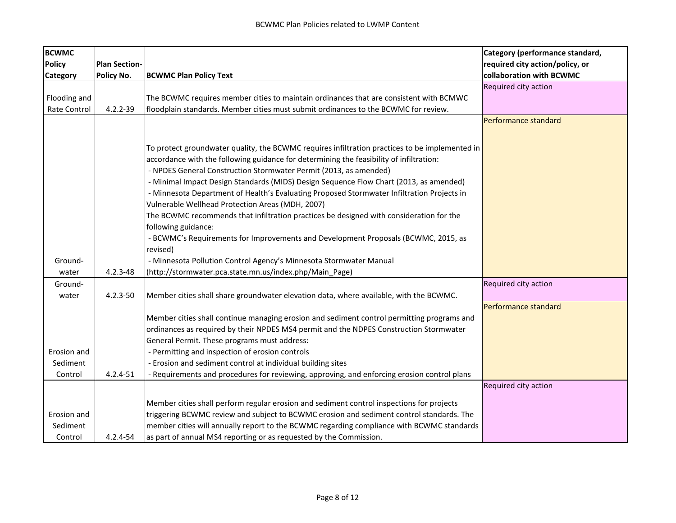| <b>BCWMC</b>    |                      |                                                                                                | Category (performance standard, |
|-----------------|----------------------|------------------------------------------------------------------------------------------------|---------------------------------|
| <b>Policy</b>   | <b>Plan Section-</b> |                                                                                                | required city action/policy, or |
| <b>Category</b> | Policy No.           | <b>BCWMC Plan Policy Text</b>                                                                  | collaboration with BCWMC        |
|                 |                      |                                                                                                | Required city action            |
| Flooding and    |                      | The BCWMC requires member cities to maintain ordinances that are consistent with BCMWC         |                                 |
| Rate Control    | $4.2.2 - 39$         | floodplain standards. Member cities must submit ordinances to the BCWMC for review.            |                                 |
|                 |                      |                                                                                                | Performance standard            |
|                 |                      |                                                                                                |                                 |
|                 |                      | To protect groundwater quality, the BCWMC requires infiltration practices to be implemented in |                                 |
|                 |                      | accordance with the following guidance for determining the feasibility of infiltration:        |                                 |
|                 |                      | - NPDES General Construction Stormwater Permit (2013, as amended)                              |                                 |
|                 |                      | - Minimal Impact Design Standards (MIDS) Design Sequence Flow Chart (2013, as amended)         |                                 |
|                 |                      | - Minnesota Department of Health's Evaluating Proposed Stormwater Infiltration Projects in     |                                 |
|                 |                      | Vulnerable Wellhead Protection Areas (MDH, 2007)                                               |                                 |
|                 |                      | The BCWMC recommends that infiltration practices be designed with consideration for the        |                                 |
|                 |                      | following guidance:                                                                            |                                 |
|                 |                      | - BCWMC's Requirements for Improvements and Development Proposals (BCWMC, 2015, as             |                                 |
|                 |                      | revised)                                                                                       |                                 |
| Ground-         |                      | - Minnesota Pollution Control Agency's Minnesota Stormwater Manual                             |                                 |
| water           | $4.2.3 - 48$         | (http://stormwater.pca.state.mn.us/index.php/Main_Page)                                        |                                 |
| Ground-         |                      |                                                                                                | Required city action            |
| water           | $4.2.3 - 50$         | Member cities shall share groundwater elevation data, where available, with the BCWMC.         |                                 |
|                 |                      |                                                                                                | Performance standard            |
|                 |                      | Member cities shall continue managing erosion and sediment control permitting programs and     |                                 |
|                 |                      | ordinances as required by their NPDES MS4 permit and the NDPES Construction Stormwater         |                                 |
|                 |                      | General Permit. These programs must address:                                                   |                                 |
| Erosion and     |                      | - Permitting and inspection of erosion controls                                                |                                 |
| Sediment        |                      | - Erosion and sediment control at individual building sites                                    |                                 |
| Control         | $4.2.4 - 51$         | - Requirements and procedures for reviewing, approving, and enforcing erosion control plans    |                                 |
|                 |                      |                                                                                                | Required city action            |
|                 |                      | Member cities shall perform regular erosion and sediment control inspections for projects      |                                 |
| Erosion and     |                      | triggering BCWMC review and subject to BCWMC erosion and sediment control standards. The       |                                 |
| Sediment        |                      | member cities will annually report to the BCWMC regarding compliance with BCWMC standards      |                                 |
| Control         | 4.2.4-54             | as part of annual MS4 reporting or as requested by the Commission.                             |                                 |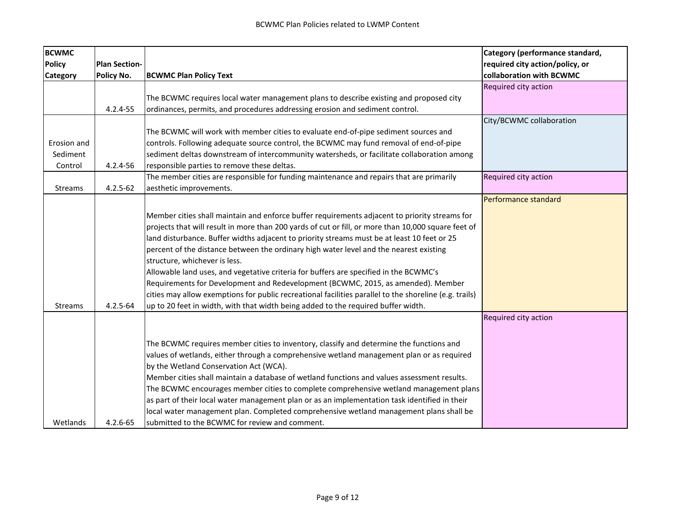| <b>BCWMC</b>   |                      |                                                                                                        | Category (performance standard, |
|----------------|----------------------|--------------------------------------------------------------------------------------------------------|---------------------------------|
| <b>Policy</b>  | <b>Plan Section-</b> |                                                                                                        | required city action/policy, or |
| Category       | Policy No.           | <b>BCWMC Plan Policy Text</b>                                                                          | collaboration with BCWMC        |
|                |                      |                                                                                                        | Required city action            |
|                |                      | The BCWMC requires local water management plans to describe existing and proposed city                 |                                 |
|                | 4.2.4-55             | ordinances, permits, and procedures addressing erosion and sediment control.                           |                                 |
|                |                      |                                                                                                        | City/BCWMC collaboration        |
|                |                      | The BCWMC will work with member cities to evaluate end-of-pipe sediment sources and                    |                                 |
| Erosion and    |                      | controls. Following adequate source control, the BCWMC may fund removal of end-of-pipe                 |                                 |
| Sediment       |                      | sediment deltas downstream of intercommunity watersheds, or facilitate collaboration among             |                                 |
| Control        | 4.2.4-56             | responsible parties to remove these deltas.                                                            |                                 |
|                |                      | The member cities are responsible for funding maintenance and repairs that are primarily               | Required city action            |
| Streams        | $4.2.5 - 62$         | aesthetic improvements.                                                                                |                                 |
|                |                      |                                                                                                        | Performance standard            |
|                |                      | Member cities shall maintain and enforce buffer requirements adjacent to priority streams for          |                                 |
|                |                      | projects that will result in more than 200 yards of cut or fill, or more than 10,000 square feet of    |                                 |
|                |                      | land disturbance. Buffer widths adjacent to priority streams must be at least 10 feet or 25            |                                 |
|                |                      | percent of the distance between the ordinary high water level and the nearest existing                 |                                 |
|                |                      | structure, whichever is less.                                                                          |                                 |
|                |                      |                                                                                                        |                                 |
|                |                      | Allowable land uses, and vegetative criteria for buffers are specified in the BCWMC's                  |                                 |
|                |                      | Requirements for Development and Redevelopment (BCWMC, 2015, as amended). Member                       |                                 |
|                |                      | cities may allow exemptions for public recreational facilities parallel to the shoreline (e.g. trails) |                                 |
| <b>Streams</b> | $4.2.5 - 64$         | up to 20 feet in width, with that width being added to the required buffer width.                      |                                 |
|                |                      |                                                                                                        | Required city action            |
|                |                      |                                                                                                        |                                 |
|                |                      | The BCWMC requires member cities to inventory, classify and determine the functions and                |                                 |
|                |                      | values of wetlands, either through a comprehensive wetland management plan or as required              |                                 |
|                |                      | by the Wetland Conservation Act (WCA).                                                                 |                                 |
|                |                      | Member cities shall maintain a database of wetland functions and values assessment results.            |                                 |
|                |                      | The BCWMC encourages member cities to complete comprehensive wetland management plans                  |                                 |
|                |                      | as part of their local water management plan or as an implementation task identified in their          |                                 |
|                |                      | local water management plan. Completed comprehensive wetland management plans shall be                 |                                 |
| Wetlands       | $4.2.6 - 65$         | submitted to the BCWMC for review and comment.                                                         |                                 |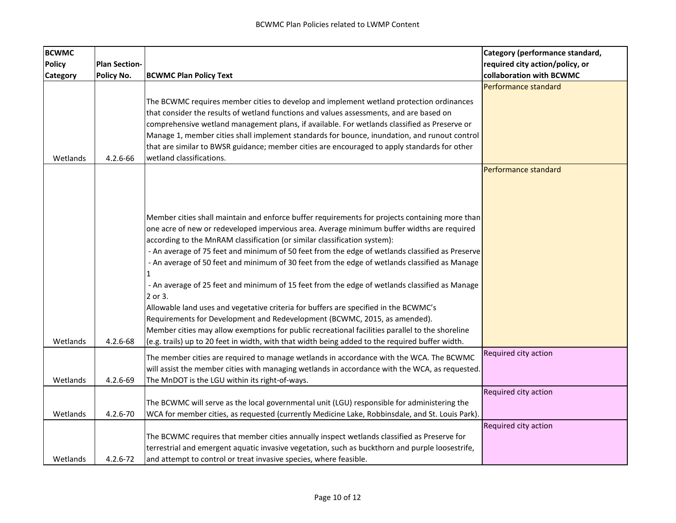| <b>BCWMC</b>  |                      |                                                                                                 | Category (performance standard, |
|---------------|----------------------|-------------------------------------------------------------------------------------------------|---------------------------------|
| <b>Policy</b> | <b>Plan Section-</b> |                                                                                                 | required city action/policy, or |
| Category      | Policy No.           | <b>BCWMC Plan Policy Text</b>                                                                   | collaboration with BCWMC        |
|               |                      |                                                                                                 | Performance standard            |
|               |                      | The BCWMC requires member cities to develop and implement wetland protection ordinances         |                                 |
|               |                      | that consider the results of wetland functions and values assessments, and are based on         |                                 |
|               |                      | comprehensive wetland management plans, if available. For wetlands classified as Preserve or    |                                 |
|               |                      | Manage 1, member cities shall implement standards for bounce, inundation, and runout control    |                                 |
|               |                      | that are similar to BWSR guidance; member cities are encouraged to apply standards for other    |                                 |
| Wetlands      | 4.2.6-66             | wetland classifications.                                                                        |                                 |
|               |                      |                                                                                                 | Performance standard            |
|               |                      |                                                                                                 |                                 |
|               |                      |                                                                                                 |                                 |
|               |                      |                                                                                                 |                                 |
|               |                      | Member cities shall maintain and enforce buffer requirements for projects containing more than  |                                 |
|               |                      | one acre of new or redeveloped impervious area. Average minimum buffer widths are required      |                                 |
|               |                      | according to the MnRAM classification (or similar classification system):                       |                                 |
|               |                      | - An average of 75 feet and minimum of 50 feet from the edge of wetlands classified as Preserve |                                 |
|               |                      | - An average of 50 feet and minimum of 30 feet from the edge of wetlands classified as Manage   |                                 |
|               |                      |                                                                                                 |                                 |
|               |                      | - An average of 25 feet and minimum of 15 feet from the edge of wetlands classified as Manage   |                                 |
|               |                      | 2 or 3.                                                                                         |                                 |
|               |                      | Allowable land uses and vegetative criteria for buffers are specified in the BCWMC's            |                                 |
|               |                      | Requirements for Development and Redevelopment (BCWMC, 2015, as amended).                       |                                 |
|               |                      | Member cities may allow exemptions for public recreational facilities parallel to the shoreline |                                 |
| Wetlands      | $4.2.6 - 68$         | (e.g. trails) up to 20 feet in width, with that width being added to the required buffer width. |                                 |
|               |                      | The member cities are required to manage wetlands in accordance with the WCA. The BCWMC         | Required city action            |
|               |                      | will assist the member cities with managing wetlands in accordance with the WCA, as requested.  |                                 |
| Wetlands      | 4.2.6-69             | The MnDOT is the LGU within its right-of-ways.                                                  |                                 |
|               |                      |                                                                                                 | Required city action            |
|               |                      | The BCWMC will serve as the local governmental unit (LGU) responsible for administering the     |                                 |
| Wetlands      | 4.2.6-70             | WCA for member cities, as requested (currently Medicine Lake, Robbinsdale, and St. Louis Park). |                                 |
|               |                      |                                                                                                 | Required city action            |
|               |                      | The BCWMC requires that member cities annually inspect wetlands classified as Preserve for      |                                 |
|               |                      | terrestrial and emergent aquatic invasive vegetation, such as buckthorn and purple loosestrife, |                                 |
| Wetlands      | $4.2.6 - 72$         | and attempt to control or treat invasive species, where feasible.                               |                                 |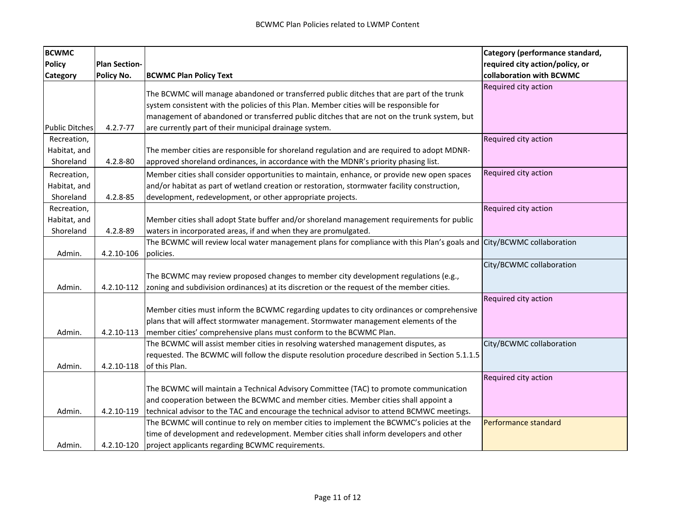| <b>BCWMC</b>                             |                      |                                                                                                                                                                                                                                                                                                                                              | Category (performance standard, |
|------------------------------------------|----------------------|----------------------------------------------------------------------------------------------------------------------------------------------------------------------------------------------------------------------------------------------------------------------------------------------------------------------------------------------|---------------------------------|
| <b>Policy</b>                            | <b>Plan Section-</b> |                                                                                                                                                                                                                                                                                                                                              | required city action/policy, or |
| <b>Category</b>                          | Policy No.           | <b>BCWMC Plan Policy Text</b>                                                                                                                                                                                                                                                                                                                | collaboration with BCWMC        |
| <b>Public Ditches</b>                    | $4.2.7 - 77$         | The BCWMC will manage abandoned or transferred public ditches that are part of the trunk<br>system consistent with the policies of this Plan. Member cities will be responsible for<br>management of abandoned or transferred public ditches that are not on the trunk system, but<br>are currently part of their municipal drainage system. | Required city action            |
| Recreation,                              |                      |                                                                                                                                                                                                                                                                                                                                              | Required city action            |
| Habitat, and<br>Shoreland                | 4.2.8-80             | The member cities are responsible for shoreland regulation and are required to adopt MDNR-<br>approved shoreland ordinances, in accordance with the MDNR's priority phasing list.                                                                                                                                                            |                                 |
| Recreation,<br>Habitat, and<br>Shoreland | 4.2.8-85             | Member cities shall consider opportunities to maintain, enhance, or provide new open spaces<br>and/or habitat as part of wetland creation or restoration, stormwater facility construction,<br>development, redevelopment, or other appropriate projects.                                                                                    | Required city action            |
| Recreation,<br>Habitat, and<br>Shoreland | 4.2.8-89             | Member cities shall adopt State buffer and/or shoreland management requirements for public<br>waters in incorporated areas, if and when they are promulgated.                                                                                                                                                                                | Required city action            |
| Admin.                                   | 4.2.10-106           | The BCWMC will review local water management plans for compliance with this Plan's goals and City/BCWMC collaboration<br>policies.                                                                                                                                                                                                           |                                 |
| Admin.                                   | 4.2.10-112           | The BCWMC may review proposed changes to member city development regulations (e.g.,<br>zoning and subdivision ordinances) at its discretion or the request of the member cities.                                                                                                                                                             | City/BCWMC collaboration        |
| Admin.                                   | 4.2.10-113           | Member cities must inform the BCWMC regarding updates to city ordinances or comprehensive<br>plans that will affect stormwater management. Stormwater management elements of the<br>member cities' comprehensive plans must conform to the BCWMC Plan.                                                                                       | Required city action            |
| Admin.                                   | 4.2.10-118           | The BCWMC will assist member cities in resolving watershed management disputes, as<br>requested. The BCWMC will follow the dispute resolution procedure described in Section 5.1.1.5<br>of this Plan.                                                                                                                                        | City/BCWMC collaboration        |
| Admin.                                   | 4.2.10-119           | The BCWMC will maintain a Technical Advisory Committee (TAC) to promote communication<br>and cooperation between the BCWMC and member cities. Member cities shall appoint a<br>technical advisor to the TAC and encourage the technical advisor to attend BCMWC meetings.                                                                    | Required city action            |
| Admin.                                   | 4.2.10-120           | The BCWMC will continue to rely on member cities to implement the BCWMC's policies at the<br>time of development and redevelopment. Member cities shall inform developers and other<br>project applicants regarding BCWMC requirements.                                                                                                      | Performance standard            |